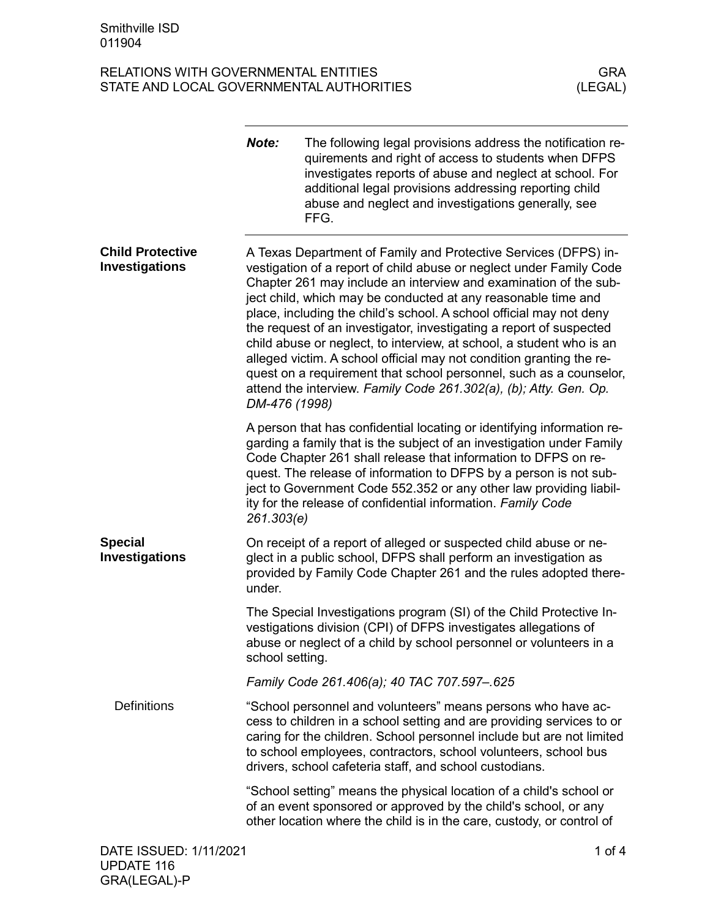|                                                  | Note:           | The following legal provisions address the notification re-<br>quirements and right of access to students when DFPS<br>investigates reports of abuse and neglect at school. For<br>additional legal provisions addressing reporting child<br>abuse and neglect and investigations generally, see<br>FFG.                                                                                                                                                                                                                                                                                                                                                                                                             |          |
|--------------------------------------------------|-----------------|----------------------------------------------------------------------------------------------------------------------------------------------------------------------------------------------------------------------------------------------------------------------------------------------------------------------------------------------------------------------------------------------------------------------------------------------------------------------------------------------------------------------------------------------------------------------------------------------------------------------------------------------------------------------------------------------------------------------|----------|
| <b>Child Protective</b><br><b>Investigations</b> | DM-476 (1998)   | A Texas Department of Family and Protective Services (DFPS) in-<br>vestigation of a report of child abuse or neglect under Family Code<br>Chapter 261 may include an interview and examination of the sub-<br>ject child, which may be conducted at any reasonable time and<br>place, including the child's school. A school official may not deny<br>the request of an investigator, investigating a report of suspected<br>child abuse or neglect, to interview, at school, a student who is an<br>alleged victim. A school official may not condition granting the re-<br>quest on a requirement that school personnel, such as a counselor,<br>attend the interview. Family Code 261.302(a), (b); Atty. Gen. Op. |          |
|                                                  | 261.303(e)      | A person that has confidential locating or identifying information re-<br>garding a family that is the subject of an investigation under Family<br>Code Chapter 261 shall release that information to DFPS on re-<br>quest. The release of information to DFPS by a person is not sub-<br>ject to Government Code 552.352 or any other law providing liabil-<br>ity for the release of confidential information. Family Code                                                                                                                                                                                                                                                                                         |          |
| <b>Special</b><br><b>Investigations</b>          | under.          | On receipt of a report of alleged or suspected child abuse or ne-<br>glect in a public school, DFPS shall perform an investigation as<br>provided by Family Code Chapter 261 and the rules adopted there-                                                                                                                                                                                                                                                                                                                                                                                                                                                                                                            |          |
|                                                  | school setting. | The Special Investigations program (SI) of the Child Protective In-<br>vestigations division (CPI) of DFPS investigates allegations of<br>abuse or neglect of a child by school personnel or volunteers in a                                                                                                                                                                                                                                                                                                                                                                                                                                                                                                         |          |
|                                                  |                 | Family Code 261.406(a); 40 TAC 707.597-.625                                                                                                                                                                                                                                                                                                                                                                                                                                                                                                                                                                                                                                                                          |          |
| <b>Definitions</b>                               |                 | "School personnel and volunteers" means persons who have ac-<br>cess to children in a school setting and are providing services to or<br>caring for the children. School personnel include but are not limited<br>to school employees, contractors, school volunteers, school bus<br>drivers, school cafeteria staff, and school custodians.                                                                                                                                                                                                                                                                                                                                                                         |          |
|                                                  |                 | "School setting" means the physical location of a child's school or<br>of an event sponsored or approved by the child's school, or any<br>other location where the child is in the care, custody, or control of                                                                                                                                                                                                                                                                                                                                                                                                                                                                                                      |          |
| DATE ISSUED: 1/11/2021                           |                 |                                                                                                                                                                                                                                                                                                                                                                                                                                                                                                                                                                                                                                                                                                                      | 1 of $4$ |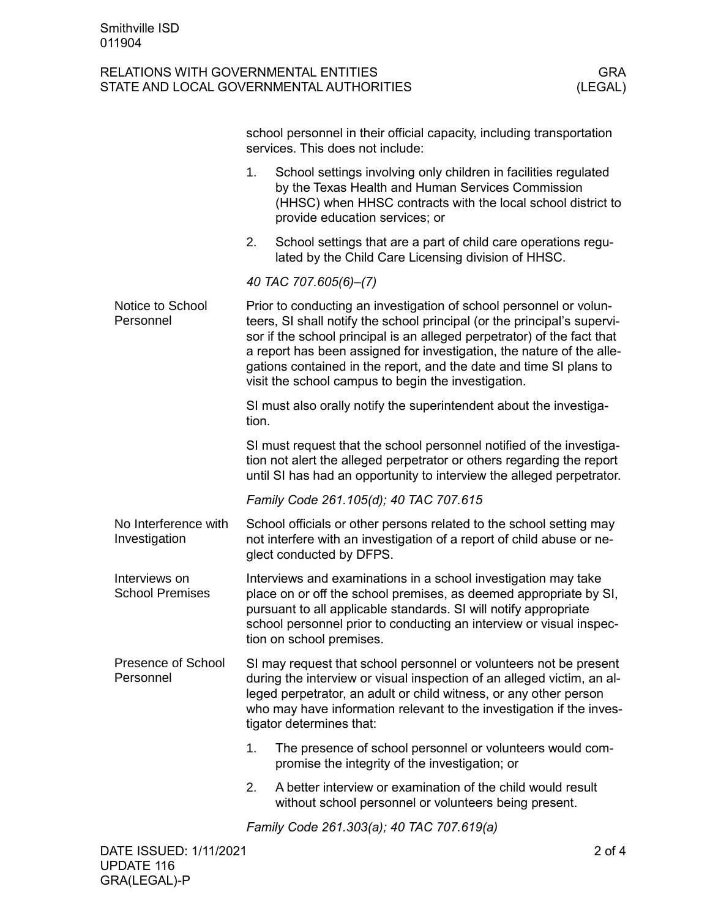|  |                                         | school personnel in their official capacity, including transportation<br>services. This does not include:                                                                                                                                                                                                                                                                                                                       |                                                                                                                                                                                                                        |  |  |
|--|-----------------------------------------|---------------------------------------------------------------------------------------------------------------------------------------------------------------------------------------------------------------------------------------------------------------------------------------------------------------------------------------------------------------------------------------------------------------------------------|------------------------------------------------------------------------------------------------------------------------------------------------------------------------------------------------------------------------|--|--|
|  |                                         | 1.                                                                                                                                                                                                                                                                                                                                                                                                                              | School settings involving only children in facilities regulated<br>by the Texas Health and Human Services Commission<br>(HHSC) when HHSC contracts with the local school district to<br>provide education services; or |  |  |
|  |                                         | 2.                                                                                                                                                                                                                                                                                                                                                                                                                              | School settings that are a part of child care operations regu-<br>lated by the Child Care Licensing division of HHSC.                                                                                                  |  |  |
|  |                                         | 40 TAC 707.605(6)-(7)                                                                                                                                                                                                                                                                                                                                                                                                           |                                                                                                                                                                                                                        |  |  |
|  | Notice to School<br>Personnel           | Prior to conducting an investigation of school personnel or volun-<br>teers, SI shall notify the school principal (or the principal's supervi-<br>sor if the school principal is an alleged perpetrator) of the fact that<br>a report has been assigned for investigation, the nature of the alle-<br>gations contained in the report, and the date and time SI plans to<br>visit the school campus to begin the investigation. |                                                                                                                                                                                                                        |  |  |
|  |                                         | SI must also orally notify the superintendent about the investiga-<br>tion.                                                                                                                                                                                                                                                                                                                                                     |                                                                                                                                                                                                                        |  |  |
|  |                                         | SI must request that the school personnel notified of the investiga-<br>tion not alert the alleged perpetrator or others regarding the report<br>until SI has had an opportunity to interview the alleged perpetrator.                                                                                                                                                                                                          |                                                                                                                                                                                                                        |  |  |
|  |                                         | Family Code 261.105(d); 40 TAC 707.615                                                                                                                                                                                                                                                                                                                                                                                          |                                                                                                                                                                                                                        |  |  |
|  | No Interference with<br>Investigation   | School officials or other persons related to the school setting may<br>not interfere with an investigation of a report of child abuse or ne-<br>glect conducted by DFPS.                                                                                                                                                                                                                                                        |                                                                                                                                                                                                                        |  |  |
|  | Interviews on<br><b>School Premises</b> | Interviews and examinations in a school investigation may take<br>place on or off the school premises, as deemed appropriate by SI,<br>pursuant to all applicable standards. SI will notify appropriate<br>school personnel prior to conducting an interview or visual inspec-<br>tion on school premises.                                                                                                                      |                                                                                                                                                                                                                        |  |  |
|  | <b>Presence of School</b><br>Personnel  | SI may request that school personnel or volunteers not be present<br>during the interview or visual inspection of an alleged victim, an al-<br>leged perpetrator, an adult or child witness, or any other person<br>who may have information relevant to the investigation if the inves-<br>tigator determines that:                                                                                                            |                                                                                                                                                                                                                        |  |  |
|  |                                         | 1.                                                                                                                                                                                                                                                                                                                                                                                                                              | The presence of school personnel or volunteers would com-<br>promise the integrity of the investigation; or                                                                                                            |  |  |
|  |                                         | 2.                                                                                                                                                                                                                                                                                                                                                                                                                              | A better interview or examination of the child would result<br>without school personnel or volunteers being present.                                                                                                   |  |  |
|  |                                         | Family Code 261.303(a); 40 TAC 707.619(a)                                                                                                                                                                                                                                                                                                                                                                                       |                                                                                                                                                                                                                        |  |  |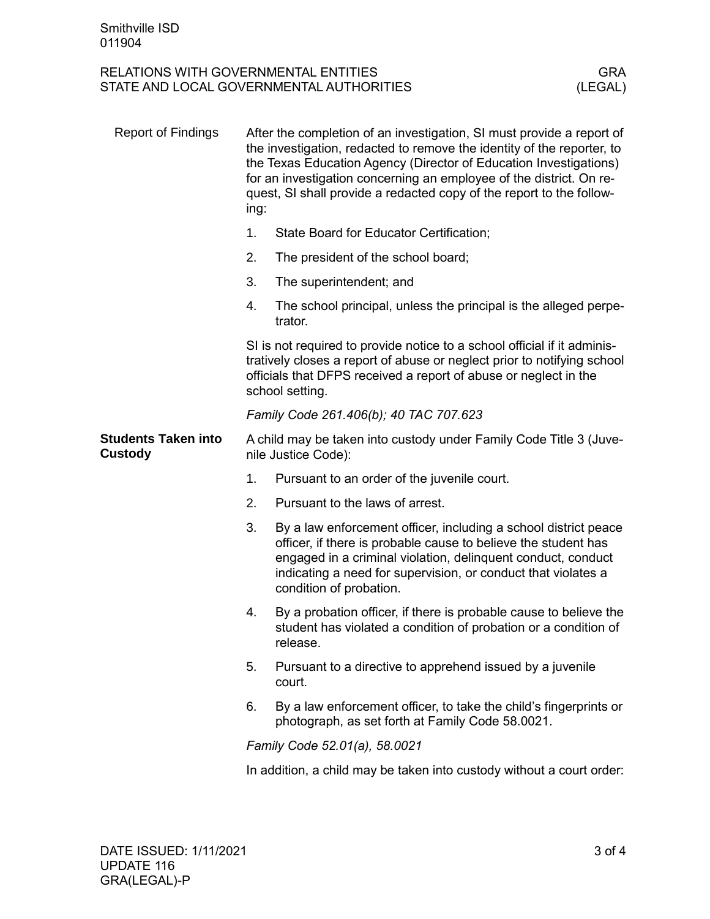| <b>Report of Findings</b>                    | After the completion of an investigation, SI must provide a report of<br>the investigation, redacted to remove the identity of the reporter, to<br>the Texas Education Agency (Director of Education Investigations)<br>for an investigation concerning an employee of the district. On re-<br>quest, SI shall provide a redacted copy of the report to the follow-<br>ing: |                                                                                                                                                                                                                                                                                               |  |
|----------------------------------------------|-----------------------------------------------------------------------------------------------------------------------------------------------------------------------------------------------------------------------------------------------------------------------------------------------------------------------------------------------------------------------------|-----------------------------------------------------------------------------------------------------------------------------------------------------------------------------------------------------------------------------------------------------------------------------------------------|--|
|                                              | 1.                                                                                                                                                                                                                                                                                                                                                                          | State Board for Educator Certification;                                                                                                                                                                                                                                                       |  |
|                                              | 2.                                                                                                                                                                                                                                                                                                                                                                          | The president of the school board;                                                                                                                                                                                                                                                            |  |
|                                              | 3.                                                                                                                                                                                                                                                                                                                                                                          | The superintendent; and                                                                                                                                                                                                                                                                       |  |
|                                              | 4.                                                                                                                                                                                                                                                                                                                                                                          | The school principal, unless the principal is the alleged perpe-<br>trator.                                                                                                                                                                                                                   |  |
|                                              | SI is not required to provide notice to a school official if it adminis-<br>tratively closes a report of abuse or neglect prior to notifying school<br>officials that DFPS received a report of abuse or neglect in the<br>school setting.                                                                                                                                  |                                                                                                                                                                                                                                                                                               |  |
|                                              | Family Code 261.406(b); 40 TAC 707.623                                                                                                                                                                                                                                                                                                                                      |                                                                                                                                                                                                                                                                                               |  |
| <b>Students Taken into</b><br><b>Custody</b> | A child may be taken into custody under Family Code Title 3 (Juve-<br>nile Justice Code):                                                                                                                                                                                                                                                                                   |                                                                                                                                                                                                                                                                                               |  |
|                                              | 1.                                                                                                                                                                                                                                                                                                                                                                          | Pursuant to an order of the juvenile court.                                                                                                                                                                                                                                                   |  |
|                                              | 2.                                                                                                                                                                                                                                                                                                                                                                          | Pursuant to the laws of arrest.                                                                                                                                                                                                                                                               |  |
|                                              | 3.                                                                                                                                                                                                                                                                                                                                                                          | By a law enforcement officer, including a school district peace<br>officer, if there is probable cause to believe the student has<br>engaged in a criminal violation, delinquent conduct, conduct<br>indicating a need for supervision, or conduct that violates a<br>condition of probation. |  |
|                                              | 4.                                                                                                                                                                                                                                                                                                                                                                          | By a probation officer, if there is probable cause to believe the<br>student has violated a condition of probation or a condition of<br>release.                                                                                                                                              |  |
|                                              | 5.                                                                                                                                                                                                                                                                                                                                                                          | Pursuant to a directive to apprehend issued by a juvenile<br>court.                                                                                                                                                                                                                           |  |
|                                              | 6.                                                                                                                                                                                                                                                                                                                                                                          | By a law enforcement officer, to take the child's fingerprints or<br>photograph, as set forth at Family Code 58.0021.                                                                                                                                                                         |  |
|                                              | Family Code 52.01(a), 58.0021                                                                                                                                                                                                                                                                                                                                               |                                                                                                                                                                                                                                                                                               |  |
|                                              |                                                                                                                                                                                                                                                                                                                                                                             | In addition, a child may be taken into custody without a court order:                                                                                                                                                                                                                         |  |